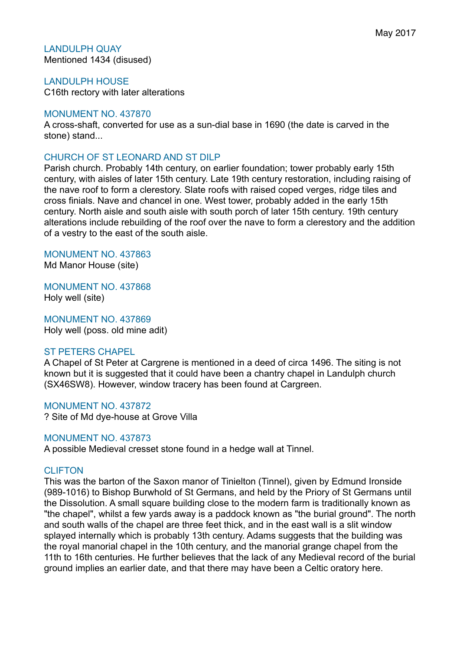## LANDULPH QUAY Mentioned 1434 (disused)

LANDULPH HOUSE C16th rectory with later alterations

# MONUMENT NO. 437870

A cross-shaft, converted for use as a sun-dial base in 1690 (the date is carved in the stone) stand...

# CHURCH OF ST LEONARD AND ST DILP

Parish church. Probably 14th century, on earlier foundation; tower probably early 15th century, with aisles of later 15th century. Late 19th century restoration, including raising of the nave roof to form a clerestory. Slate roofs with raised coped verges, ridge tiles and cross finials. Nave and chancel in one. West tower, probably added in the early 15th century. North aisle and south aisle with south porch of later 15th century. 19th century alterations include rebuilding of the roof over the nave to form a clerestory and the addition of a vestry to the east of the south aisle.

# MONUMENT NO. 437863

Md Manor House (site)

MONUMENT NO. 437868 Holy well (site)

MONUMENT NO. 437869 Holy well (poss. old mine adit)

# ST PETERS CHAPEL

A Chapel of St Peter at Cargrene is mentioned in a deed of circa 1496. The siting is not known but it is suggested that it could have been a chantry chapel in Landulph church (SX46SW8). However, window tracery has been found at Cargreen.

### MONUMENT NO. 437872

? Site of Md dye-house at Grove Villa

# MONUMENT NO. 437873

A possible Medieval cresset stone found in a hedge wall at Tinnel.

# CLIFTON

This was the barton of the Saxon manor of Tinielton (Tinnel), given by Edmund Ironside (989-1016) to Bishop Burwhold of St Germans, and held by the Priory of St Germans until the Dissolution. A small square building close to the modern farm is traditionally known as "the chapel", whilst a few yards away is a paddock known as "the burial ground". The north and south walls of the chapel are three feet thick, and in the east wall is a slit window splayed internally which is probably 13th century. Adams suggests that the building was the royal manorial chapel in the 10th century, and the manorial grange chapel from the 11th to 16th centuries. He further believes that the lack of any Medieval record of the burial ground implies an earlier date, and that there may have been a Celtic oratory here.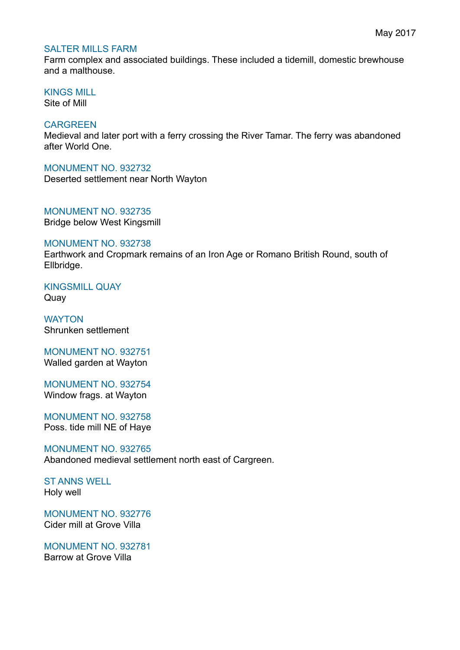## SALTER MILLS FARM

Farm complex and associated buildings. These included a tidemill, domestic brewhouse and a malthouse.

KINGS MILL

Site of Mill

# **CARGREEN**

Medieval and later port with a ferry crossing the River Tamar. The ferry was abandoned after World One.

# MONUMENT NO. 932732

Deserted settlement near North Wayton

MONUMENT NO. 932735 Bridge below West Kingsmill

# MONUMENT NO. 932738

Earthwork and Cropmark remains of an Iron Age or Romano British Round, south of Ellbridge.

KINGSMILL QUAY Quay

**WAYTON** Shrunken settlement

MONUMENT NO. 932751 Walled garden at Wayton

MONUMENT NO. 932754 Window frags. at Wayton

MONUMENT NO. 932758 Poss. tide mill NE of Haye

MONUMENT NO. 932765 Abandoned medieval settlement north east of Cargreen.

ST ANNS WELL Holy well

MONUMENT NO. 932776 Cider mill at Grove Villa

MONUMENT NO. 932781 Barrow at Grove Villa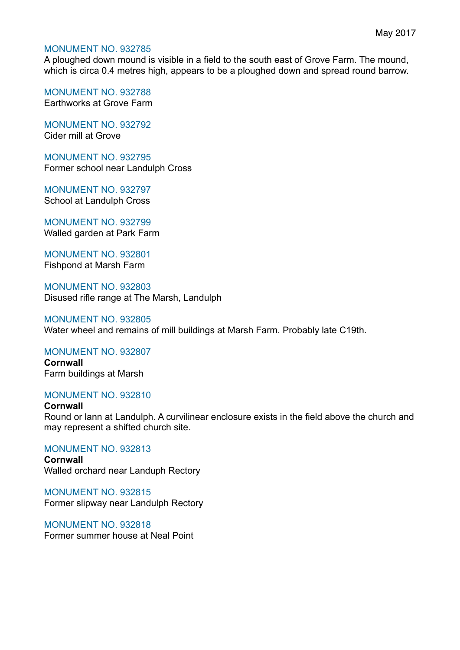## MONUMENT NO. 932785

A ploughed down mound is visible in a field to the south east of Grove Farm. The mound, which is circa 0.4 metres high, appears to be a ploughed down and spread round barrow.

MONUMENT NO. 932788 Earthworks at Grove Farm

MONUMENT NO. 932792 Cider mill at Grove

MONUMENT NO. 932795 Former school near Landulph Cross

MONUMENT NO. 932797 School at Landulph Cross

MONUMENT NO. 932799 Walled garden at Park Farm

MONUMENT NO. 932801 Fishpond at Marsh Farm

MONUMENT NO. 932803 Disused rifle range at The Marsh, Landulph

#### MONUMENT NO. 932805

Water wheel and remains of mill buildings at Marsh Farm. Probably late C19th.

### MONUMENT NO. 932807

**Cornwall** Farm buildings at Marsh

### MONUMENT NO. 932810

**Cornwall** Round or lann at Landulph. A curvilinear enclosure exists in the field above the church and may represent a shifted church site.

MONUMENT NO. 932813 **Cornwall**

Walled orchard near Landuph Rectory

MONUMENT NO. 932815 Former slipway near Landulph Rectory

MONUMENT NO. 932818 Former summer house at Neal Point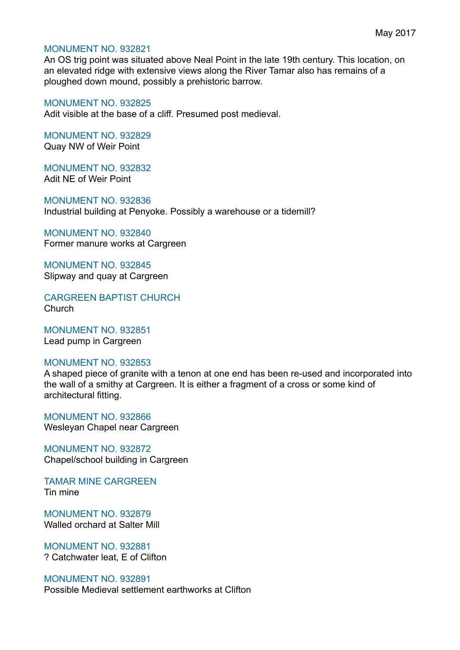#### MONUMENT NO. 932821

An OS trig point was situated above Neal Point in the late 19th century. This location, on an elevated ridge with extensive views along the River Tamar also has remains of a ploughed down mound, possibly a prehistoric barrow.

#### MONUMENT NO. 932825

Adit visible at the base of a cliff. Presumed post medieval.

MONUMENT NO. 932829 Quay NW of Weir Point

MONUMENT NO. 932832 Adit NE of Weir Point

MONUMENT NO. 932836 Industrial building at Penyoke. Possibly a warehouse or a tidemill?

MONUMENT NO. 932840 Former manure works at Cargreen

MONUMENT NO. 932845 Slipway and quay at Cargreen

CARGREEN BAPTIST CHURCH Church

MONUMENT NO. 932851 Lead pump in Cargreen

#### MONUMENT NO. 932853

A shaped piece of granite with a tenon at one end has been re-used and incorporated into the wall of a smithy at Cargreen. It is either a fragment of a cross or some kind of architectural fitting.

MONUMENT NO. 932866 Wesleyan Chapel near Cargreen

MONUMENT NO. 932872 Chapel/school building in Cargreen

TAMAR MINE CARGREEN Tin mine

MONUMENT NO. 932879 Walled orchard at Salter Mill

MONUMENT NO. 932881 ? Catchwater leat, E of Clifton

# MONUMENT NO. 932891

Possible Medieval settlement earthworks at Clifton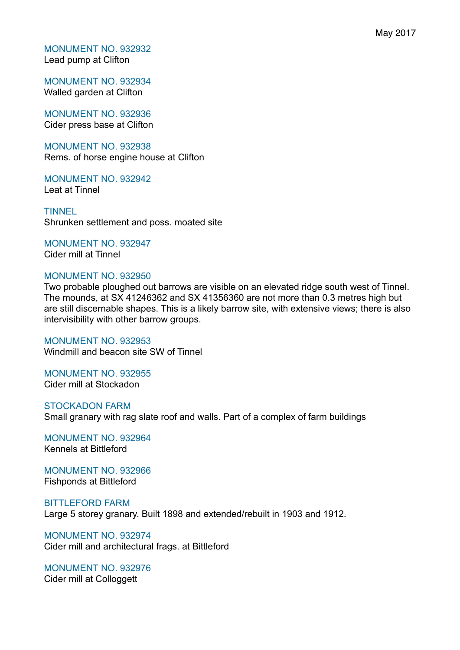MONUMENT NO. 932932 Lead pump at Clifton

MONUMENT NO. 932934 Walled garden at Clifton

MONUMENT NO. 932936 Cider press base at Clifton

MONUMENT NO. 932938 Rems. of horse engine house at Clifton

MONUMENT NO. 932942 Leat at Tinnel

**TINNEL** Shrunken settlement and poss. moated site

MONUMENT NO. 932947 Cider mill at Tinnel

### MONUMENT NO. 932950

Two probable ploughed out barrows are visible on an elevated ridge south west of Tinnel. The mounds, at SX 41246362 and SX 41356360 are not more than 0.3 metres high but are still discernable shapes. This is a likely barrow site, with extensive views; there is also intervisibility with other barrow groups.

MONUMENT NO. 932953 Windmill and beacon site SW of Tinnel

MONUMENT NO. 932955 Cider mill at Stockadon

STOCKADON FARM Small granary with rag slate roof and walls. Part of a complex of farm buildings

MONUMENT NO. 932964 Kennels at Bittleford

MONUMENT NO. 932966 Fishponds at Bittleford

BITTLEFORD FARM Large 5 storey granary. Built 1898 and extended/rebuilt in 1903 and 1912.

MONUMENT NO. 932974 Cider mill and architectural frags. at Bittleford

MONUMENT NO. 932976 Cider mill at Colloggett